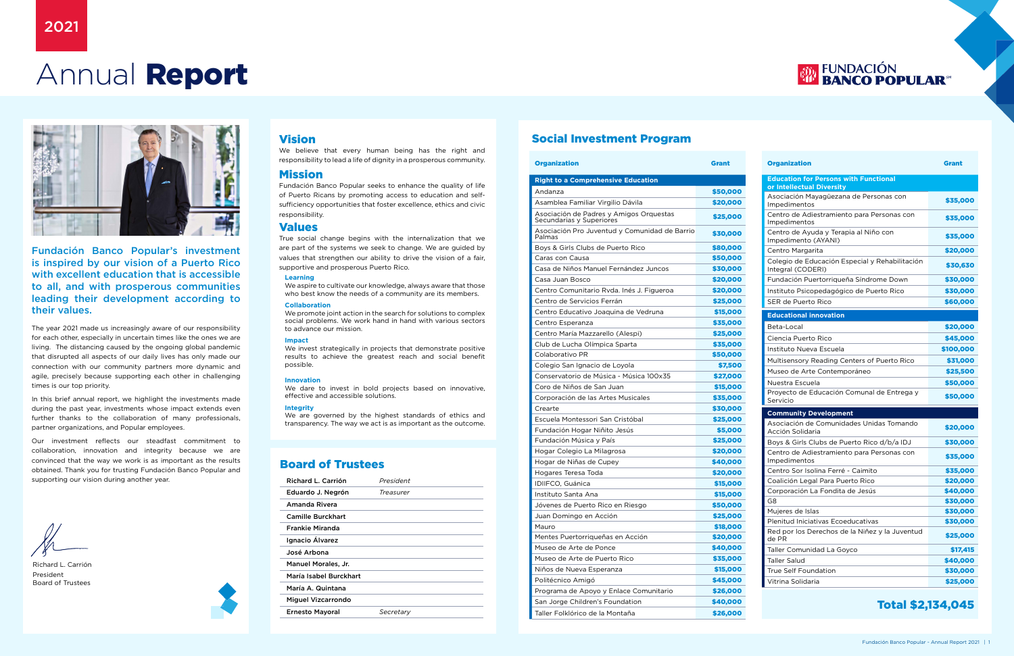# Annual Report



# Vision

We believe that every human being has the right and responsibility to lead a life of dignity in a prosperous community.

## Mission

Fundación Banco Popular seeks to enhance the quality of life of Puerto Ricans by promoting access to education and selfsufficiency opportunities that foster excellence, ethics and civic responsibility.

### Values

True social change begins with the internalization that we are part of the systems we seek to change. We are guided by values that strengthen our ability to drive the vision of a fair, supportive and prosperous Puerto Rico.

#### **Learning**

We aspire to cultivate our knowledge, always aware that those who best know the needs of a community are its members.

#### **Collaboration**

We promote joint action in the search for solutions to complex social problems. We work hand in hand with various sectors to advance our mission.

#### **Impact**

We invest strategically in projects that demonstrate positive results to achieve the greatest reach and social benefit possible.

#### **Innovation**

We dare to invest in bold projects based on innovative, effective and accessible solutions.

#### **Integrity**

We are governed by the highest standards of ethics and transparency. The way we act is as important as the outcome.

Fundación Banco Popular's investment is inspired by our vision of a Puerto Rico with excellent education that is accessible to all, and with prosperous communities leading their development according to their values.

The year 2021 made us increasingly aware of our responsibility for each other, especially in uncertain times like the ones we are living. The distancing caused by the ongoing global pandemic that disrupted all aspects of our daily lives has only made our connection with our community partners more dynamic and agile, precisely because supporting each other in challenging times is our top priority.

In this brief annual report, we highlight the investments made during the past year, investments whose impact extends even further thanks to the collaboration of many professionals, partner organizations, and Popular employees.

Our investment reflects our steadfast commitment to collaboration, innovation and integrity because we are convinced that the way we work is as important as the results obtained. Thank you for trusting Fundación Banco Popular and supporting our vision during another year.

Richard L. Carrión President Board of Trustees

## Board of Trustees

| Richard L. Carrión       | President |
|--------------------------|-----------|
| Eduardo J. Negrón        | Treasurer |
| Amanda Rivera            |           |
| <b>Camille Burckhart</b> |           |
| <b>Frankie Miranda</b>   |           |
| Ignacio Álvarez          |           |
| José Arbona              |           |
| Manuel Morales, Jr.      |           |
| María Isabel Burckhart   |           |
| María A. Quintana        |           |
| Miguel Vizcarrondo       |           |
| <b>Ernesto Mayoral</b>   | Secretarv |

## Social Investment Program

| <b>Organization</b>                                                 | <b>Grant</b> |
|---------------------------------------------------------------------|--------------|
| <b>Right to a Comprehensive Education</b>                           |              |
| Andanza                                                             | \$50,000     |
| Asamblea Familiar Virgilio Dávila                                   | \$20,000     |
| Asociación de Padres y Amigos Orquestas<br>Secundarias y Superiores | \$25,000     |
| Asociación Pro Juventud y Comunidad de Barrio<br>Palmas             | \$30,000     |
| Boys & Girls Clubs de Puerto Rico                                   | \$80,000     |
| Caras con Causa                                                     | \$50,000     |
| Casa de Niños Manuel Fernández Juncos                               | \$30,000     |
| Casa Juan Bosco                                                     | \$20,000     |
| Centro Comunitario Rvda. Inés J. Figueroa                           | \$20,000     |
| Centro de Servicios Ferrán                                          | \$25,000     |
| Centro Educativo Joaquina de Vedruna                                | \$15,000     |
| Centro Esperanza                                                    | \$35,000     |
| Centro María Mazzarello (Alespi)                                    | \$25,000     |
| Club de Lucha Olímpica Sparta                                       | \$35,000     |
| Colaborativo PR                                                     | \$50,000     |
| Colegio San Ignacio de Loyola                                       | \$7,500      |
| Conservatorio de Música - Música 100x35                             | \$27,000     |
| Coro de Niños de San Juan                                           | \$15,000     |
| Corporación de las Artes Musicales                                  | \$35,000     |
| Crearte                                                             | \$30,000     |
| Escuela Montessori San Cristóbal                                    | \$25,000     |
| Fundación Hogar Niñito Jesús                                        | \$5,000      |
| Fundación Música y País                                             | \$25,000     |
| Hogar Colegio La Milagrosa                                          | \$20,000     |
| Hogar de Niñas de Cupey                                             | \$40,000     |
| Hogares Teresa Toda                                                 | \$20,000     |
| IDIIFCO, Guánica                                                    | \$15,000     |
| Instituto Santa Ana                                                 | \$15,000     |
| Jóvenes de Puerto Rico en Riesgo                                    | \$50,000     |
| Juan Domingo en Acción                                              | \$25,000     |
| Mauro                                                               | \$18,000     |
| Mentes Puertorriqueñas en Acción                                    | \$20,000     |
| Museo de Arte de Ponce                                              | \$40,000     |
| Museo de Arte de Puerto Rico                                        | \$35,000     |
| Niños de Nueva Esperanza                                            | \$15,000     |
| Politécnico Amigó                                                   | \$45,000     |
| Programa de Apoyo y Enlace Comunitario                              | \$26,000     |
| San Jorge Children's Foundation                                     | \$40,000     |
| Taller Folklórico de la Montaña                                     | \$26,000     |

# **EUNDACIÓN<br>BANCO POPULAR<sup>®</sup>**

| <b>Organization</b>                                                 | <b>Grant</b> |
|---------------------------------------------------------------------|--------------|
| <b>Education for Persons with Functional</b>                        |              |
| or Intellectual Diversity                                           |              |
| Asociación Mayagüezana de Personas con<br>Impedimentos              | \$35,000     |
| Centro de Adiestramiento para Personas con<br>Impedimentos          | \$35,000     |
| Centro de Ayuda y Terapia al Niño con<br>Impedimento (AYANI)        | \$35,000     |
| Centro Margarita                                                    | \$20,000     |
| Colegio de Educación Especial y Rehabilitación<br>Integral (CODERI) | \$30,630     |
| Fundación Puertorriqueña Síndrome Down                              | \$30,000     |
| Instituto Psicopedagógico de Puerto Rico                            | \$30,000     |
| SER de Puerto Rico                                                  | \$60,000     |
| <b>Educational innovation</b>                                       |              |
| Beta-Local                                                          | \$20,000     |
| Ciencia Puerto Rico                                                 | \$45,000     |
| Instituto Nueva Escuela                                             | \$100,000    |
| Multisensory Reading Centers of Puerto Rico                         | \$31,000     |
| Museo de Arte Contemporáneo                                         | \$25,500     |
| Nuestra Escuela                                                     | \$50,000     |
| Proyecto de Educación Comunal de Entrega y<br>Servicio              | \$50,000     |
| <b>Community Development</b>                                        |              |
| Asociación de Comunidades Unidas Tomando<br>Acción Solidaria        | \$20,000     |
| Boys & Girls Clubs de Puerto Rico d/b/a IDJ                         | \$30,000     |
| Centro de Adiestramiento para Personas con<br>Impedimentos          | \$35,000     |
| Centro Sor Isolina Ferré - Caimito                                  | \$35,000     |
| Coalición Legal Para Puerto Rico                                    | \$20,000     |
| Corporación La Fondita de Jesús                                     | \$40,000     |
| G8                                                                  | \$30,000     |
| Mujeres de Islas                                                    | \$30,000     |
| Plenitud Iniciativas Ecoeducativas                                  | \$30,000     |
| Red por los Derechos de la Niñez y la Juventud<br>de PR             | \$25,000     |
| Taller Comunidad La Goyco                                           | \$17,415     |
| <b>Taller Salud</b>                                                 | \$40,000     |
| <b>True Self Foundation</b>                                         | \$30,000     |
| Vitrina Solidaria                                                   | \$25,000     |

Total \$2,134,045